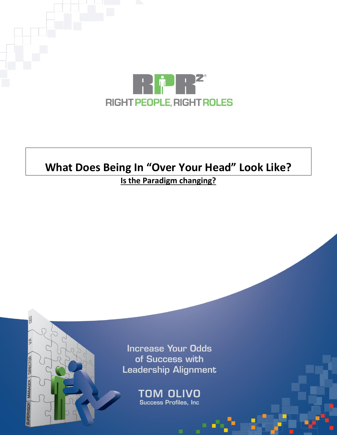

# **What Does Being In "Over Your Head" Look Like?**

## **Is the Paradigm changing?**

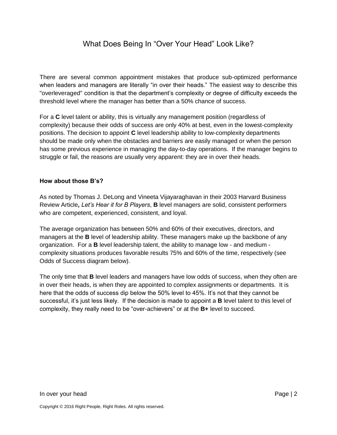### What Does Being In "Over Your Head" Look Like?

There are several common appointment mistakes that produce sub-optimized performance when leaders and managers are literally "in over their heads." The easiest way to describe this "overleveraged" condition is that the department's complexity or degree of difficulty exceeds the threshold level where the manager has better than a 50% chance of success.

For a **C** level talent or ability, this is virtually any management position (regardless of complexity) because their odds of success are only 40% at best, even in the lowest-complexity positions. The decision to appoint **C** level leadership ability to low-complexity departments should be made only when the obstacles and barriers are easily managed or when the person has some previous experience in managing the day-to-day operations. If the manager begins to struggle or fail, the reasons are usually very apparent: they are in over their heads.

#### **How about those B's?**

As noted by Thomas J. DeLong and Vineeta Vijayaraghavan in their 2003 Harvard Business Review Article**,** *Let's Hear it for B Players*, **B** level managers are solid, consistent performers who are competent, experienced, consistent, and loyal.

The average organization has between 50% and 60% of their executives, directors, and managers at the **B** level of leadership ability. These managers make up the backbone of any organization. For a **B** level leadership talent, the ability to manage low - and medium complexity situations produces favorable results 75% and 60% of the time, respectively (see Odds of Success diagram below).

The only time that **B** level leaders and managers have low odds of success, when they often are in over their heads, is when they are appointed to complex assignments or departments. It is here that the odds of success dip below the 50% level to 45%. It's not that they cannot be successful, it's just less likely. If the decision is made to appoint a **B** level talent to this level of complexity, they really need to be "over-achievers" or at the **B+** level to succeed.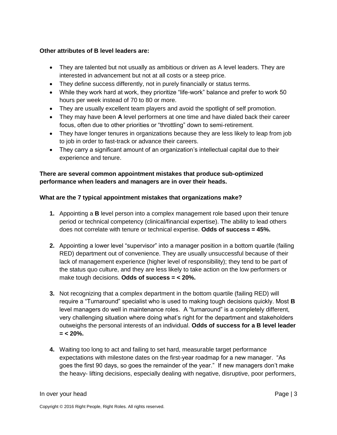#### **Other attributes of B level leaders are:**

- They are talented but not usually as ambitious or driven as A level leaders. They are interested in advancement but not at all costs or a steep price.
- They define success differently, not in purely financially or status terms.
- While they work hard at work, they prioritize "life-work" balance and prefer to work 50 hours per week instead of 70 to 80 or more.
- They are usually excellent team players and avoid the spotlight of self promotion.
- They may have been **A** level performers at one time and have dialed back their career focus, often due to other priorities or "throttling" down to semi-retirement.
- They have longer tenures in organizations because they are less likely to leap from job to job in order to fast-track or advance their careers.
- They carry a significant amount of an organization's intellectual capital due to their experience and tenure.

#### **There are several common appointment mistakes that produce sub-optimized performance when leaders and managers are in over their heads.**

#### **What are the 7 typical appointment mistakes that organizations make?**

- **1.** Appointing a **B** level person into a complex management role based upon their tenure period or technical competency (clinical/financial expertise). The ability to lead others does not correlate with tenure or technical expertise. **Odds of success = 45%.**
- **2.** Appointing a lower level "supervisor" into a manager position in a bottom quartile (failing RED) department out of convenience. They are usually unsuccessful because of their lack of management experience (higher level of responsibility); they tend to be part of the status quo culture, and they are less likely to take action on the low performers or make tough decisions. **Odds of success = < 20%.**
- **3.** Not recognizing that a complex department in the bottom quartile (failing RED) will require a "Turnaround" specialist who is used to making tough decisions quickly. Most **B** level managers do well in maintenance roles. A "turnaround" is a completely different, very challenging situation where doing what's right for the department and stakeholders outweighs the personal interests of an individual. **Odds of success for a B level leader = < 20%.**
- **4.** Waiting too long to act and failing to set hard, measurable target performance expectations with milestone dates on the first-year roadmap for a new manager. "As goes the first 90 days, so goes the remainder of the year." If new managers don't make the heavy- lifting decisions, especially dealing with negative, disruptive, poor performers,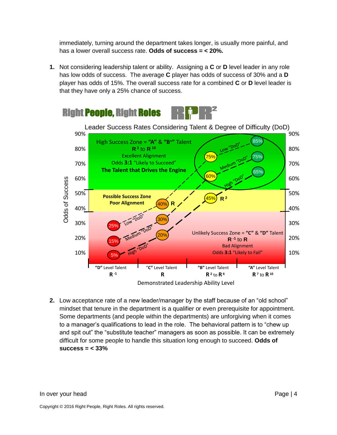immediately, turning around the department takes longer, is usually more painful, and has a lower overall success rate. **Odds of success = < 20%.**

**1.** Not considering leadership talent or ability. Assigning a **C** or **D** level leader in any role has low odds of success. The average **C** player has odds of success of 30% and a **D** player has odds of 15%. The overall success rate for a combined **C** or **D** level leader is that they have only a 25% chance of success.



**2.** Low acceptance rate of a new leader/manager by the staff because of an "old school" mindset that tenure in the department is a qualifier or even prerequisite for appointment. Some departments (and people within the departments) are unforgiving when it comes to a manager's qualifications to lead in the role. The behavioral pattern is to "chew up and spit out" the "substitute teacher" managers as soon as possible. It can be extremely difficult for some people to handle this situation long enough to succeed. **Odds of success = < 33%**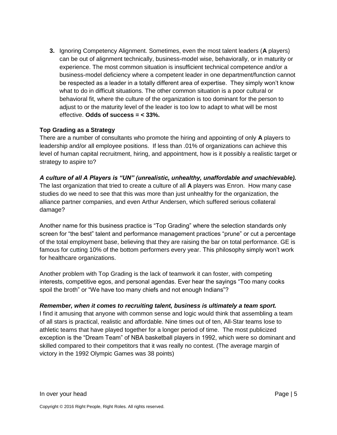**3.** Ignoring Competency Alignment. Sometimes, even the most talent leaders (**A** players) can be out of alignment technically, business-model wise, behaviorally, or in maturity or experience. The most common situation is insufficient technical competence and/or a business-model deficiency where a competent leader in one department/function cannot be respected as a leader in a totally different area of expertise. They simply won't know what to do in difficult situations. The other common situation is a poor cultural or behavioral fit, where the culture of the organization is too dominant for the person to adjust to or the maturity level of the leader is too low to adapt to what will be most effective. **Odds of success = < 33%.**

#### **Top Grading as a Strategy**

damage?

There are a number of consultants who promote the hiring and appointing of only **A** players to leadership and/or all employee positions. If less than .01% of organizations can achieve this level of human capital recruitment, hiring, and appointment, how is it possibly a realistic target or strategy to aspire to?

*A culture of all A Players is "UN" (unrealistic, unhealthy, unaffordable and unachievable).* The last organization that tried to create a culture of all **A** players was Enron. How many case studies do we need to see that this was more than just unhealthy for the organization, the alliance partner companies, and even Arthur Andersen, which suffered serious collateral

Another name for this business practice is "Top Grading" where the selection standards only screen for "the best" talent and performance management practices "prune" or cut a percentage of the total employment base, believing that they are raising the bar on total performance. GE is famous for cutting 10% of the bottom performers every year. This philosophy simply won't work for healthcare organizations.

Another problem with Top Grading is the lack of teamwork it can foster, with competing interests, competitive egos, and personal agendas. Ever hear the sayings "Too many cooks spoil the broth" or "We have too many chiefs and not enough Indians"?

#### *Remember, when it comes to recruiting talent, business is ultimately a team sport.*

I find it amusing that anyone with common sense and logic would think that assembling a team of all stars is practical, realistic and affordable. Nine times out of ten, All-Star teams lose to athletic teams that have played together for a longer period of time. The most publicized exception is the "Dream Team" of NBA basketball players in 1992, which were so dominant and skilled compared to their competitors that it was really no contest. (The average margin of victory in the 1992 Olympic Games was 38 points)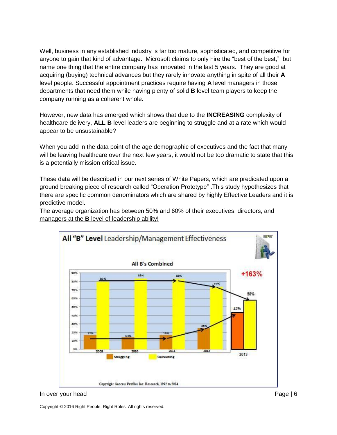Well, business in any established industry is far too mature, sophisticated, and competitive for anyone to gain that kind of advantage. Microsoft claims to only hire the "best of the best," but name one thing that the entire company has innovated in the last 5 years. They are good at acquiring (buying) technical advances but they rarely innovate anything in spite of all their **A** level people. Successful appointment practices require having **A** level managers in those departments that need them while having plenty of solid **B** level team players to keep the company running as a coherent whole.

However, new data has emerged which shows that due to the **INCREASING** complexity of healthcare delivery, **ALL B** level leaders are beginning to struggle and at a rate which would appear to be unsustainable?

When you add in the data point of the age demographic of executives and the fact that many will be leaving healthcare over the next few years, it would not be too dramatic to state that this is a potentially mission critical issue.

These data will be described in our next series of White Papers, which are predicated upon a ground breaking piece of research called "Operation Prototype" .This study hypothesizes that there are specific common denominators which are shared by highly Effective Leaders and it is predictive model.

The average organization has between 50% and 60% of their executives, directors, and managers at the **B** level of leadership ability!



#### In over your head **Page | 6** and Page | 6

Copyright © 2016 Right People, Right Roles. All rights reserved.